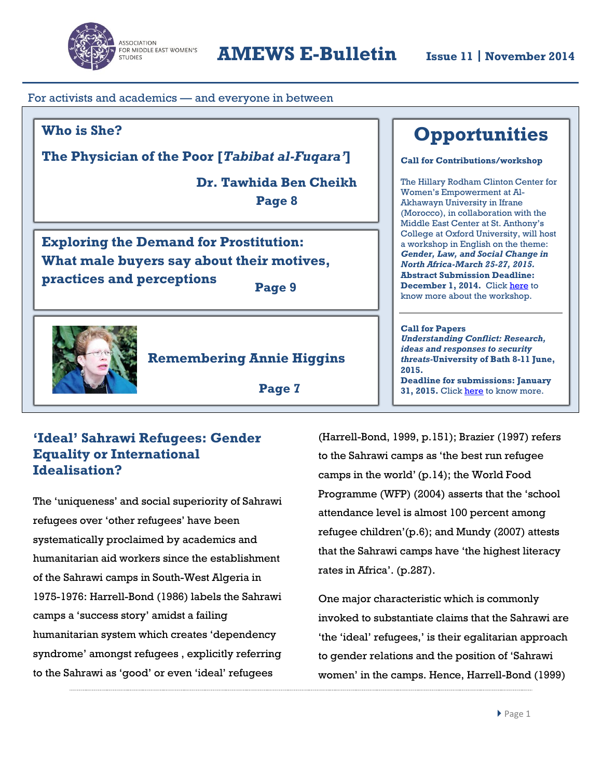

For activists and academics — and everyone in between

## **Who is She?**

**The Physician of the Poor [***Tabibat al-Fuqara'***]**

 $\overline{a}$ 

**Dr. Tawhida Ben Cheikh Page 8**

**Exploring the Demand for Prostitution: What male buyers say about their motives, practices and perceptions Page 9**



**Remembering Annie Higgins**

 **Page 7**

# **'Ideal' Sahrawi Refugees: Gender Equality or International Idealisation?**

The 'uniqueness' and social superiority of Sahrawi refugees over 'other refugees' have been systematically proclaimed by academics and humanitarian aid workers since the establishment of the Sahrawi camps in South-West Algeria in 1975-1976: Harrell-Bond (1986) labels the Sahrawi camps a 'success story' amidst a failing humanitarian system which creates 'dependency syndrome' amongst refugees , explicitly referring to the Sahrawi as 'good' or even 'ideal' refugees

(Harrell-Bond, 1999, p.151); Brazier (1997) refers to the Sahrawi camps as 'the best run refugee camps in the world'(p.14); the World Food Programme (WFP) (2004) asserts that the 'school attendance level is almost 100 percent among refugee children'(p.6); and Mundy (2007) attests that the Sahrawi camps have 'the highest literacy rates in Africa'. (p.287).

One major characteristic which is commonly invoked to substantiate claims that the Sahrawi are 'the 'ideal' refugees,' is their egalitarian approach to gender relations and the position of 'Sahrawi women' in the camps. Hence, Harrell-Bond (1999)

# **Opportunities**

**Call for Contributions/workshop**

The Hillary Rodham Clinton Center for Women's Empowerment at Al-Akhawayn University in Ifrane (Morocco), in collaboration with the Middle East Center at St. Anthony's College at Oxford University, will host a workshop in English on the theme: *Gender, Law, and Social Change in North Africa-March 25-27, 2015.* **Abstract Submission Deadline: December 1, 2014.** Clic[k here](http://www.aui.ma/en/hcc/partnerships.html) to know more about the workshop.

#### **Call for Papers**

*Understanding Conflict: Research, ideas and responses to security threats-***University of Bath 8-11 June, 2015. Deadline for submissions: January**  31, 2015. Clic[k here](http://www.bath.ac.uk/ipr/news/news-0132.html) to know more.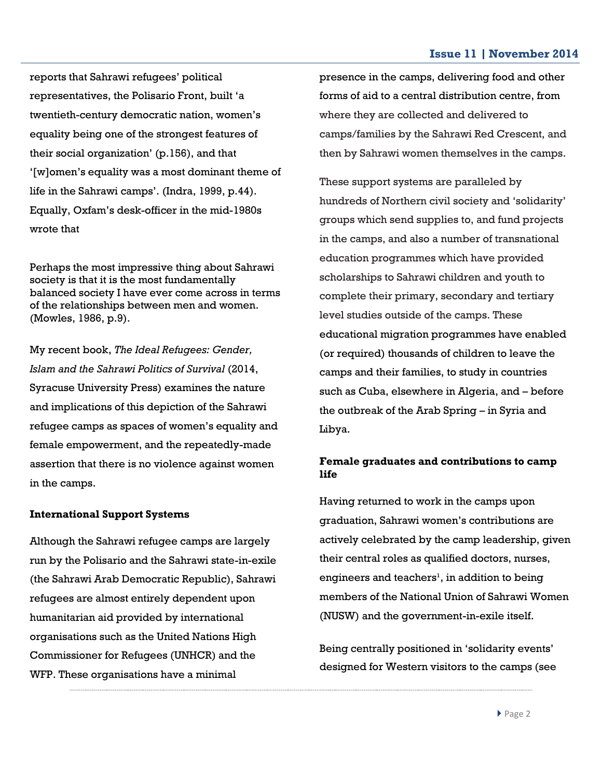reports that Sahrawi refugees' political representatives, the Polisario Front, built 'a twentieth-century democratic nation, women's equality being one of the strongest features of their social organization' (p.156), and that '[w]omen's equality was a most dominant theme of life in the Sahrawi camps'. (Indra, 1999, p.44). Equally, Oxfam's desk-officer in the mid-1980s wrote that

Perhaps the most impressive thing about Sahrawi society is that it is the most fundamentally balanced society I have ever come across in terms of the relationships between men and women. (Mowles, 1986, p.9).

My recent book, *The Ideal Refugees: Gender, Islam and the Sahrawi Politics of Survival* (2014, Syracuse University Press) examines the nature and implications of this depiction of the Sahrawi refugee camps as spaces of women's equality and female empowerment, and the repeatedly-made assertion that there is no violence against women in the camps.

#### **International Support Systems**

Although the Sahrawi refugee camps are largely run by the Polisario and the Sahrawi state-in-exile (the Sahrawi Arab Democratic Republic), Sahrawi refugees are almost entirely dependent upon humanitarian aid provided by international organisations such as the United Nations High Commissioner for Refugees (UNHCR) and the WFP. These organisations have a minimal

presence in the camps, delivering food and other forms of aid to a central distribution centre, from where they are collected and delivered to camps/families by the Sahrawi Red Crescent, and then by Sahrawi women themselves in the camps.

These support systems are paralleled by hundreds of Northern civil society and 'solidarity' groups which send supplies to, and fund projects in the camps, and also a number of transnational education programmes which have provided scholarships to Sahrawi children and youth to complete their primary, secondary and tertiary level studies outside of the camps. These educational migration programmes have enabled (or required) thousands of children to leave the camps and their families, to study in countries such as Cuba, elsewhere in Algeria, and – before the outbreak of the Arab Spring – in Syria and Libya.

### **Female graduates and contributions to camp life**

Having returned to work in the camps upon graduation, Sahrawi women's contributions are actively celebrated by the camp leadership, given their central roles as qualified doctors, nurses, engineers and teachers<sup>1</sup>, in addition to being members of the National Union of Sahrawi Women (NUSW) and the government-in-exile itself.

Being centrally positioned in 'solidarity events' designed for Western visitors to the camps (see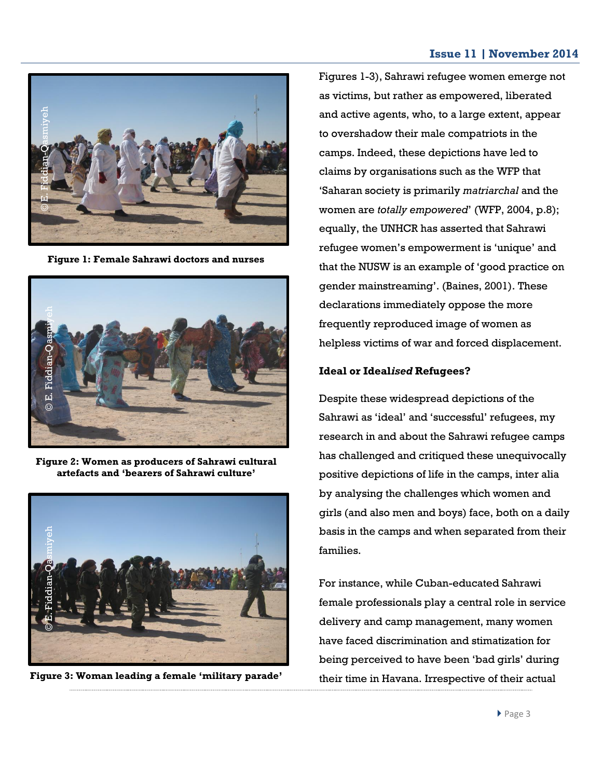

**Figure 1: Female Sahrawi doctors and nurses**



**Figure 2: Women as producers of Sahrawi cultural artefacts and 'bearers of Sahrawi culture'**



Figures 1-3), Sahrawi refugee women emerge not as victims, but rather as empowered, liberated and active agents, who, to a large extent, appear to overshadow their male compatriots in the camps. Indeed, these depictions have led to claims by organisations such as the WFP that 'Saharan society is primarily *matriarchal* and the women are *totally empowered*' (WFP, 2004, p.8); equally, the UNHCR has asserted that Sahrawi refugee women's empowerment is 'unique' and that the NUSW is an example of 'good practice on gender mainstreaming'. (Baines, 2001). These declarations immediately oppose the more frequently reproduced image of women as helpless victims of war and forced displacement.

#### **Ideal or Ideal***ised* **Refugees?**

Despite these widespread depictions of the Sahrawi as 'ideal' and 'successful' refugees, my research in and about the Sahrawi refugee camps has challenged and critiqued these unequivocally positive depictions of life in the camps, inter alia by analysing the challenges which women and girls (and also men and boys) face, both on a daily basis in the camps and when separated from their families.

For instance, while Cuban-educated Sahrawi female professionals play a central role in service delivery and camp management, many women have faced discrimination and stimatization for being perceived to have been 'bad girls' during their time in Havana. Irrespective of their actual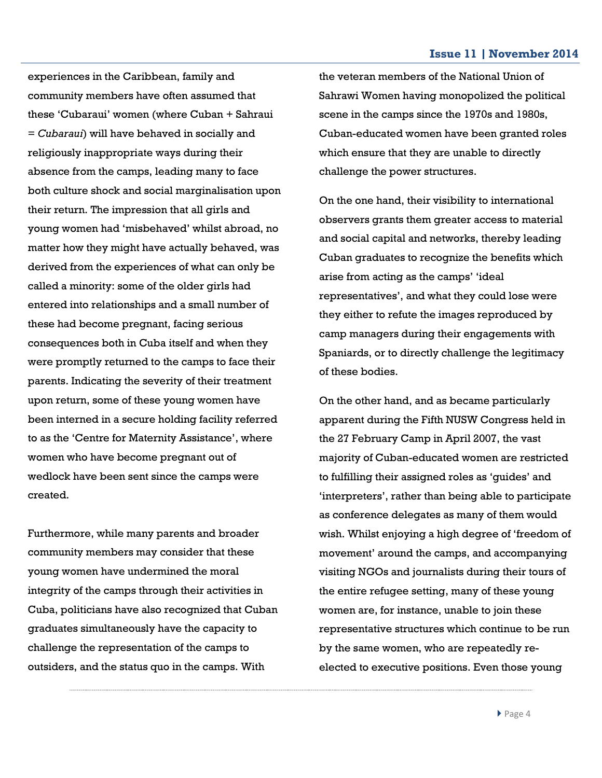experiences in the Caribbean, family and community members have often assumed that these 'Cubaraui' women (where Cuban + Sahraui = *Cubaraui*) will have behaved in socially and religiously inappropriate ways during their absence from the camps, leading many to face both culture shock and social marginalisation upon their return. The impression that all girls and young women had 'misbehaved' whilst abroad, no matter how they might have actually behaved, was derived from the experiences of what can only be called a minority: some of the older girls had entered into relationships and a small number of these had become pregnant, facing serious consequences both in Cuba itself and when they were promptly returned to the camps to face their parents. Indicating the severity of their treatment upon return, some of these young women have been interned in a secure holding facility referred to as the 'Centre for Maternity Assistance', where women who have become pregnant out of wedlock have been sent since the camps were created.

Furthermore, while many parents and broader community members may consider that these young women have undermined the moral integrity of the camps through their activities in Cuba, politicians have also recognized that Cuban graduates simultaneously have the capacity to challenge the representation of the camps to outsiders, and the status quo in the camps. With

the veteran members of the National Union of Sahrawi Women having monopolized the political scene in the camps since the 1970s and 1980s, Cuban-educated women have been granted roles which ensure that they are unable to directly challenge the power structures.

On the one hand, their visibility to international observers grants them greater access to material and social capital and networks, thereby leading Cuban graduates to recognize the benefits which arise from acting as the camps' 'ideal representatives', and what they could lose were they either to refute the images reproduced by camp managers during their engagements with Spaniards, or to directly challenge the legitimacy of these bodies.

On the other hand, and as became particularly apparent during the Fifth NUSW Congress held in the 27 February Camp in April 2007, the vast majority of Cuban-educated women are restricted to fulfilling their assigned roles as 'guides' and 'interpreters', rather than being able to participate as conference delegates as many of them would wish. Whilst enjoying a high degree of 'freedom of movement' around the camps, and accompanying visiting NGOs and journalists during their tours of the entire refugee setting, many of these young women are, for instance, unable to join these representative structures which continue to be run by the same women, who are repeatedly reelected to executive positions. Even those young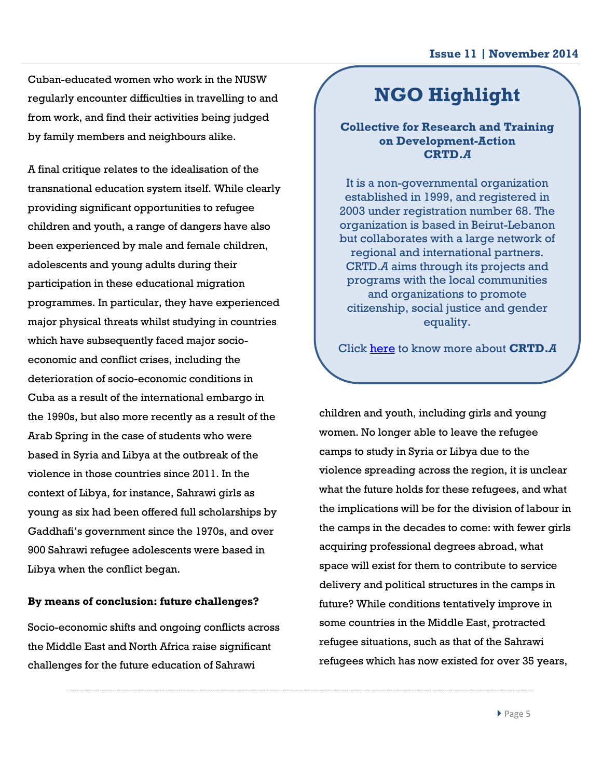Cuban-educated women who work in the NUSW regularly encounter difficulties in travelling to and from work, and find their activities being judged by family members and neighbours alike.

A final critique relates to the idealisation of the transnational education system itself. While clearly providing significant opportunities to refugee children and youth, a range of dangers have also been experienced by male and female children, adolescents and young adults during their participation in these educational migration programmes. In particular, they have experienced major physical threats whilst studying in countries which have subsequently faced major socioeconomic and conflict crises, including the deterioration of socio-economic conditions in Cuba as a result of the international embargo in the 1990s, but also more recently as a result of the Arab Spring in the case of students who were based in Syria and Libya at the outbreak of the violence in those countries since 2011. In the context of Libya, for instance, Sahrawi girls as young as six had been offered full scholarships by Gaddhafi's government since the 1970s, and over 900 Sahrawi refugee adolescents were based in Libya when the conflict began.

#### **By means of conclusion: future challenges?**

Socio-economic shifts and ongoing conflicts across the Middle East and North Africa raise significant challenges for the future education of Sahrawi

# **NGO Highlight**

## **Collective for Research and Training on Development-Action CRTD.***A*

It is a non-governmental organization established in 1999, and registered in 2003 under registration number 68. The organization is based in Beirut-Lebanon but collaborates with a large network of regional and international partners. CRTD.*A* aims through its projects and programs with the local communities and organizations to promote citizenship, social justice and gender equality.

Click [here](http://crtda.org.lb/) to know more about **CRTD.***A*

children and youth, including girls and young women. No longer able to leave the refugee camps to study in Syria or Libya due to the violence spreading across the region, it is unclear what the future holds for these refugees, and what the implications will be for the division of labour in the camps in the decades to come: with fewer girls acquiring professional degrees abroad, what space will exist for them to contribute to service delivery and political structures in the camps in future? While conditions tentatively improve in some countries in the Middle East, protracted refugee situations, such as that of the Sahrawi refugees which has now existed for over 35 years,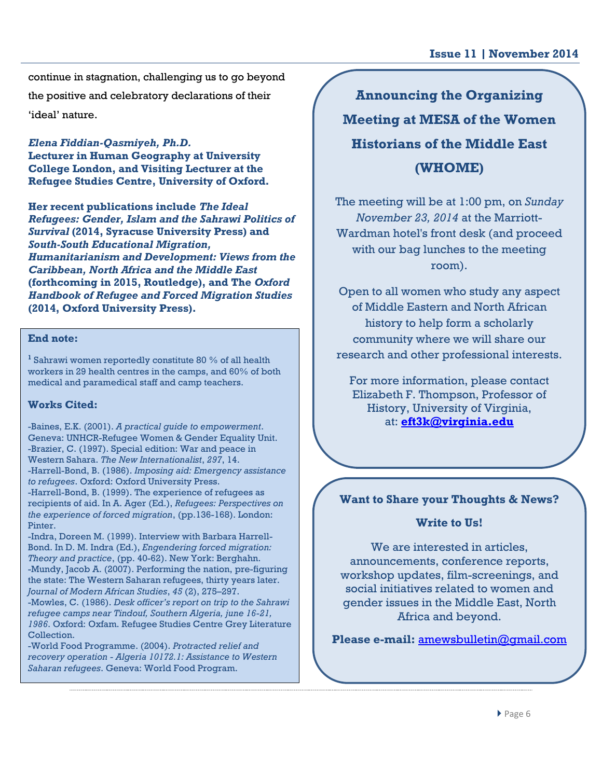continue in stagnation, challenging us to go beyond the positive and celebratory declarations of their

'ideal' nature.

*Elena Fiddian-Qasmiyeh, Ph.D.* **Lecturer in Human Geography at University College London, and Visiting Lecturer at the Refugee Studies Centre, University of Oxford.** 

**Her recent publications include** *The Ideal Refugees: Gender, Islam and the Sahrawi Politics of Survival* **(2014, Syracuse University Press) and**  *South-South Educational Migration, Humanitarianism and Development: Views from the Caribbean, North Africa and the Middle East* **(forthcoming in 2015, Routledge), and The** *Oxford Handbook of Refugee and Forced Migration Studies* **(2014, Oxford University Press).**

#### **End note:**

**1** Sahrawi women reportedly constitute 80 % of all health workers in 29 health centres in the camps, and 60% of both medical and paramedical staff and camp teachers.

### **Works Cited:**

-Baines, E.K. (2001). *A practical guide to empowerment*. Geneva: UNHCR-Refugee Women & Gender Equality Unit. -Brazier, C. (1997). Special edition: War and peace in Western Sahara. *The New Internationalist*, *297*, 14. -Harrell-Bond, B. (1986). *Imposing aid: Emergency assistance to refugees*. Oxford: Oxford University Press. -Harrell-Bond, B. (1999). The experience of refugees as recipients of aid. In A. Ager (Ed.), *Refugees: Perspectives on the experience of forced migration*, (pp.136-168). London: Pinter.

-Indra, Doreen M. (1999). Interview with Barbara Harrell-Bond. In D. M. Indra (Ed.), *Engendering forced migration: Theory and practice*, (pp. 40-62). New York: Berghahn. -Mundy, Jacob A. (2007). Performing the nation, pre-figuring the state: The Western Saharan refugees, thirty years later. *Journal of Modern African Studies*, *45* (2), 275–297.

-Mowles, C. (1986). *Desk officer's report on trip to the Sahrawi refugee camps near Tindouf, Southern Algeria, june 16-21, 1986*. Oxford: Oxfam. Refugee Studies Centre Grey Literature Collection.

-World Food Programme. (2004). *Protracted relief and recovery operation - Algeria 10172.1: Assistance to Western Saharan refugees*. Geneva: World Food Program.

# **Announcing the Organizing Meeting at MESA of the Women Historians of the Middle East (WHOME)**

The meeting will be at 1:00 pm, on *Sunday November 23, 2014* at the Marriott-Wardman hotel's front desk (and proceed with our bag lunches to the meeting room).

Open to all women who study any aspect of Middle Eastern and North African history to help form a scholarly community where we will share our research and other professional interests.

For more information, please contact Elizabeth F. Thompson, Professor of History, University of Virginia, at: **[eft3k@virginia.edu](mailto:eft3k@virginia.edu)**

## **Want to Share your Thoughts & News?**

### **Write to Us!**

We are interested in articles. announcements, conference reports, workshop updates, film-screenings, and social initiatives related to women and gender issues in the Middle East, North Africa and beyond.

**Please e-mail:** [amewsbulletin@gmail.com](mailto:amewsbulletin@gmail.com)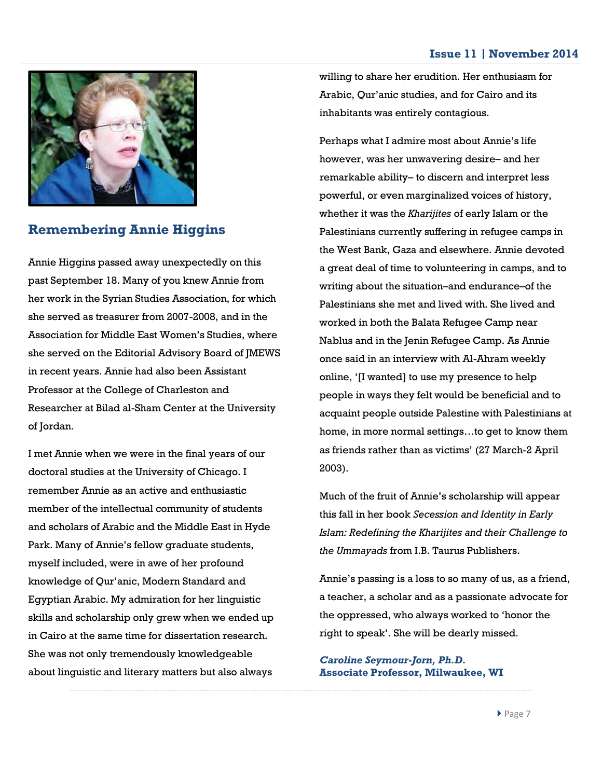

## **Remembering Annie Higgins**

Annie Higgins passed away unexpectedly on this past September 18. Many of you knew Annie from her work in the Syrian Studies Association, for which she served as treasurer from 2007-2008, and in the Association for Middle East Women's Studies, where she served on the Editorial Advisory Board of JMEWS in recent years. Annie had also been Assistant Professor at the College of Charleston and Researcher at Bilad al-Sham Center at the University of Jordan.

I met Annie when we were in the final years of our doctoral studies at the University of Chicago. I remember Annie as an active and enthusiastic member of the intellectual community of students and scholars of Arabic and the Middle East in Hyde Park. Many of Annie's fellow graduate students, myself included, were in awe of her profound knowledge of Qur'anic, Modern Standard and Egyptian Arabic. My admiration for her linguistic skills and scholarship only grew when we ended up in Cairo at the same time for dissertation research. She was not only tremendously knowledgeable about linguistic and literary matters but also always

willing to share her erudition. Her enthusiasm for Arabic, Qur'anic studies, and for Cairo and its inhabitants was entirely contagious.

Perhaps what I admire most about Annie's life however, was her unwavering desire– and her remarkable ability– to discern and interpret less powerful, or even marginalized voices of history, whether it was the *Kharijites* of early Islam or the Palestinians currently suffering in refugee camps in the West Bank, Gaza and elsewhere. Annie devoted a great deal of time to volunteering in camps, and to writing about the situation–and endurance–of the Palestinians she met and lived with. She lived and worked in both the Balata Refugee Camp near Nablus and in the Jenin Refugee Camp. As Annie once said in an interview with Al-Ahram weekly online, '[I wanted] to use my presence to help people in ways they felt would be beneficial and to acquaint people outside Palestine with Palestinians at home, in more normal settings…to get to know them as friends rather than as victims' (27 March-2 April 2003).

Much of the fruit of Annie's scholarship will appear this fall in her book *Secession and Identity in Early Islam: Redefining the Kharijites and their Challenge to the Ummayads* from I.B. Taurus Publishers.

Annie's passing is a loss to so many of us, as a friend, a teacher, a scholar and as a passionate advocate for the oppressed, who always worked to 'honor the right to speak'. She will be dearly missed.

*Caroline Seymour-Jorn, Ph.D.* **Associate Professor, Milwaukee, WI**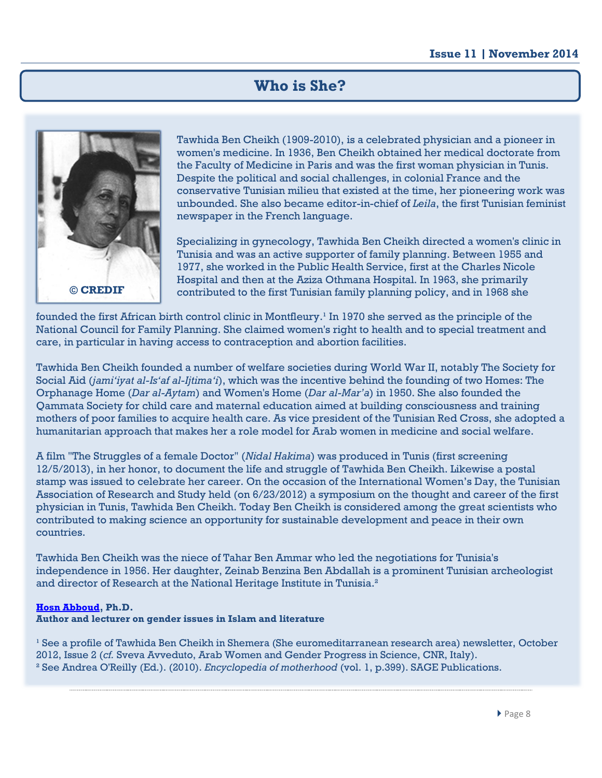## **Who is She?**



Tawhida Ben Cheikh (1909-2010), is a celebrated physician and a pioneer in women's medicine. In 1936, Ben Cheikh obtained her medical doctorate from the Faculty of Medicine in Paris and was the first woman physician in Tunis. Despite the political and social challenges, in colonial France and the conservative Tunisian milieu that existed at the time, her pioneering work was unbounded. She also became editor-in-chief of *Leila*, the first Tunisian feminist newspaper in the French language.

Specializing in gynecology, Tawhida Ben Cheikh directed a women's clinic in Tunisia and was an active supporter of family planning. Between 1955 and 1977, she worked in the Public Health Service, first at the Charles Nicole Hospital and then at the Aziza Othmana Hospital. In 1963, she primarily contributed to the first Tunisian family planning policy, and in 1968 she

founded the first African birth control clinic in Montfleury.<sup>1</sup> In 1970 she served as the principle of the National Council for Family Planning. She claimed women's right to health and to special treatment and care, in particular in having access to contraception and abortion facilities.

Tawhida Ben Cheikh founded a number of welfare societies during World War II, notably The Society for Social Aid (*jami'iyat al-Is'af al-Ijtima'i*), which was the incentive behind the founding of two Homes: The Orphanage Home (*Dar al-Aytam*) and Women's Home (*Dar al-Mar'a*) in 1950. She also founded the Qammata Society for child care and maternal education aimed at building consciousness and training mothers of poor families to acquire health care. As vice president of the Tunisian Red Cross, she adopted a humanitarian approach that makes her a role model for Arab women in medicine and social welfare.

A film "The Struggles of a female Doctor" (*Nidal Hakima*) was produced in Tunis (first screening 12/5/2013), in her honor, to document the life and struggle of Tawhida Ben Cheikh. Likewise a postal stamp was issued to celebrate her career. On the occasion of the International Women's Day, the Tunisian Association of Research and Study held (on 6/23/2012) a symposium on the thought and career of the first physician in Tunis, Tawhida Ben Cheikh. Today Ben Cheikh is considered among the great scientists who contributed to making science an opportunity for sustainable development and peace in their own countries.

Tawhida Ben Cheikh was the niece of Tahar Ben Ammar who led the negotiations for Tunisia's independence in 1956. Her daughter, Zeinab Benzina Ben Abdallah is a prominent Tunisian archeologist and director of Research at the National Heritage Institute in Tunisia.<sup>2</sup>

#### **[Hosn Abboud,](mailto:hosnabboud@gmail.com) Ph.D.**

**Author and lecturer on gender issues in Islam and literature**

 $^1$  See a profile of Tawhida Ben Cheikh in Shemera (She euromeditarranean research area) newsletter, October 2012, Issue 2 (*cf.* Sveva Avveduto, Arab Women and Gender Progress in Science, CNR, Italy). ² See Andrea O'Reilly (Ed.). (2010). *Encyclopedia of motherhood* (vol. 1, p.399). SAGE Publications.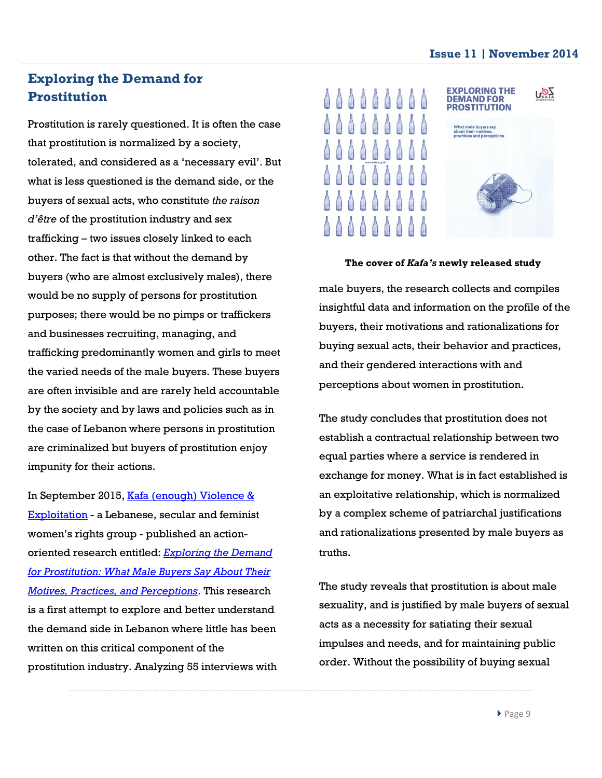# **Exploring the Demand for Prostitution**

Prostitution is rarely questioned. It is often the case that prostitution is normalized by a society, tolerated, and considered as a 'necessary evil'. But what is less questioned is the demand side, or the buyers of sexual acts, who constitute *the raison d'être* of the prostitution industry and sex trafficking – two issues closely linked to each other. The fact is that without the demand by buyers (who are almost exclusively males), there would be no supply of persons for prostitution purposes; there would be no pimps or traffickers and businesses recruiting, managing, and trafficking predominantly women and girls to meet the varied needs of the male buyers. These buyers are often invisible and are rarely held accountable by the society and by laws and policies such as in the case of Lebanon where persons in prostitution are criminalized but buyers of prostitution enjoy impunity for their actions.

In September 2015, Kafa (enough) Violence & [Exploitation](http://www.kafa.org.lb/) - a Lebanese, secular and feminist women's rights group - published an actionoriented research entitled: *[Exploring the Demand](http://www.kafa.org.lb/StudiesPublicationPDF/PRpdf-69-635469857409407867.pdf)  [for Prostitution: What Male Buyers Say About Their](http://www.kafa.org.lb/StudiesPublicationPDF/PRpdf-69-635469857409407867.pdf)  [Motives, Practices, and Perceptions](http://www.kafa.org.lb/StudiesPublicationPDF/PRpdf-69-635469857409407867.pdf)*. This research is a first attempt to explore and better understand the demand side in Lebanon where little has been written on this critical component of the prostitution industry. Analyzing 55 interviews with



#### **The cover of** *Kafa's* **newly released study**

male buyers, the research collects and compiles insightful data and information on the profile of the buyers, their motivations and rationalizations for buying sexual acts, their behavior and practices, and their gendered interactions with and perceptions about women in prostitution.

The study concludes that prostitution does not establish a contractual relationship between two equal parties where a service is rendered in exchange for money. What is in fact established is an exploitative relationship, which is normalized by a complex scheme of patriarchal justifications and rationalizations presented by male buyers as truths.

The study reveals that prostitution is about male sexuality, and is justified by male buyers of sexual acts as a necessity for satiating their sexual impulses and needs, and for maintaining public order. Without the possibility of buying sexual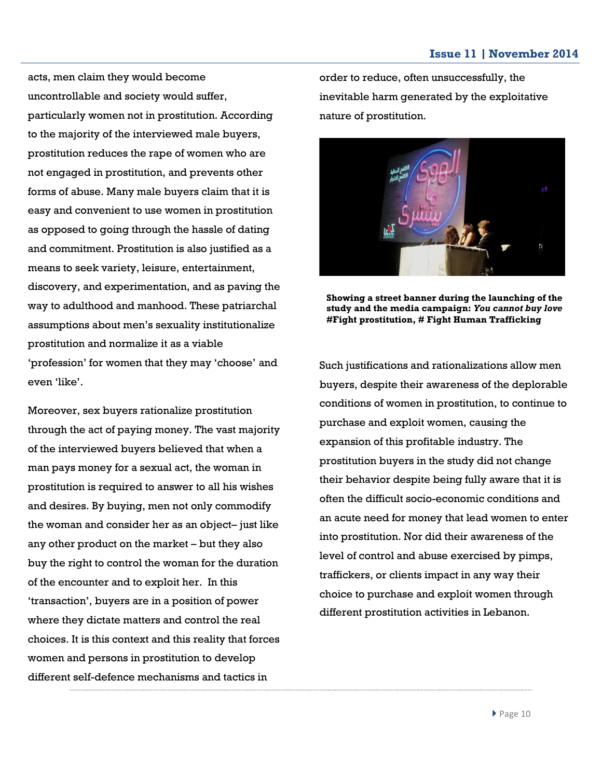acts, men claim they would become uncontrollable and society would suffer, particularly women not in prostitution. According to the majority of the interviewed male buyers, prostitution reduces the rape of women who are not engaged in prostitution, and prevents other forms of abuse. Many male buyers claim that it is easy and convenient to use women in prostitution as opposed to going through the hassle of dating and commitment. Prostitution is also justified as a means to seek variety, leisure, entertainment, discovery, and experimentation, and as paving the way to adulthood and manhood. These patriarchal assumptions about men's sexuality institutionalize prostitution and normalize it as a viable 'profession' for women that they may 'choose' and even 'like'.

Moreover, sex buyers rationalize prostitution through the act of paying money. The vast majority of the interviewed buyers believed that when a man pays money for a sexual act, the woman in prostitution is required to answer to all his wishes and desires. By buying, men not only commodify the woman and consider her as an object– just like any other product on the market – but they also buy the right to control the woman for the duration of the encounter and to exploit her. In this 'transaction', buyers are in a position of power where they dictate matters and control the real choices. It is this context and this reality that forces women and persons in prostitution to develop different self-defence mechanisms and tactics in

order to reduce, often unsuccessfully, the inevitable harm generated by the exploitative nature of prostitution.

![](_page_9_Picture_4.jpeg)

**Showing a street banner during the launching of the study and the media campaign:** *You cannot buy love* **#Fight prostitution, # Fight Human Trafficking**

Such justifications and rationalizations allow men buyers, despite their awareness of the deplorable conditions of women in prostitution, to continue to purchase and exploit women, causing the expansion of this profitable industry. The prostitution buyers in the study did not change their behavior despite being fully aware that it is often the difficult socio-economic conditions and an acute need for money that lead women to enter into prostitution. Nor did their awareness of the level of control and abuse exercised by pimps, traffickers, or clients impact in any way their choice to purchase and exploit women through different prostitution activities in Lebanon.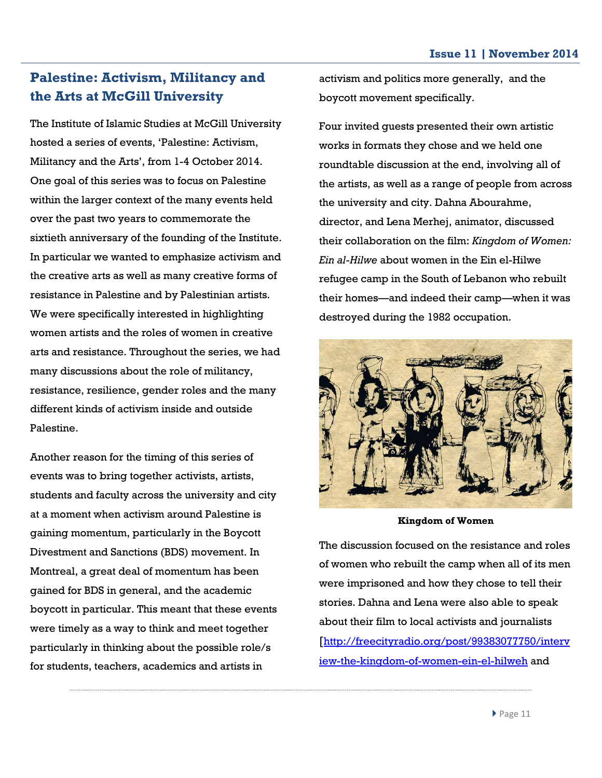# **Palestine: Activism, Militancy and the Arts at McGill University**

The Institute of Islamic Studies at McGill University hosted a series of events, 'Palestine: Activism, Militancy and the Arts', from 1-4 October 2014. One goal of this series was to focus on Palestine within the larger context of the many events held over the past two years to commemorate the sixtieth anniversary of the founding of the Institute. In particular we wanted to emphasize activism and the creative arts as well as many creative forms of resistance in Palestine and by Palestinian artists. We were specifically interested in highlighting women artists and the roles of women in creative arts and resistance. Throughout the series, we had many discussions about the role of militancy, resistance, resilience, gender roles and the many different kinds of activism inside and outside Palestine.

Another reason for the timing of this series of events was to bring together activists, artists, students and faculty across the university and city at a moment when activism around Palestine is gaining momentum, particularly in the Boycott Divestment and Sanctions (BDS) movement. In Montreal, a great deal of momentum has been gained for BDS in general, and the academic boycott in particular. This meant that these events were timely as a way to think and meet together particularly in thinking about the possible role/s for students, teachers, academics and artists in

activism and politics more generally, and the boycott movement specifically.

Four invited guests presented their own artistic works in formats they chose and we held one roundtable discussion at the end, involving all of the artists, as well as a range of people from across the university and city. Dahna Abourahme, director, and Lena Merhej, animator, discussed their collaboration on the film: *Kingdom of Women: Ein al-Hilwe* about women in the Ein el-Hilwe refugee camp in the South of Lebanon who rebuilt their homes—and indeed their camp—when it was destroyed during the 1982 occupation.

![](_page_10_Picture_6.jpeg)

**Kingdom of Women**

The discussion focused on the resistance and roles of women who rebuilt the camp when all of its men were imprisoned and how they chose to tell their stories. Dahna and Lena were also able to speak about their film to local activists and journalists [[http://freecityradio.org/post/99383077750/interv](http://freecityradio.org/post/99383077750/interview-the-kingdom-of-women-ein-el-hilweh) [iew-the-kingdom-of-women-ein-el-hilweh](http://freecityradio.org/post/99383077750/interview-the-kingdom-of-women-ein-el-hilweh) and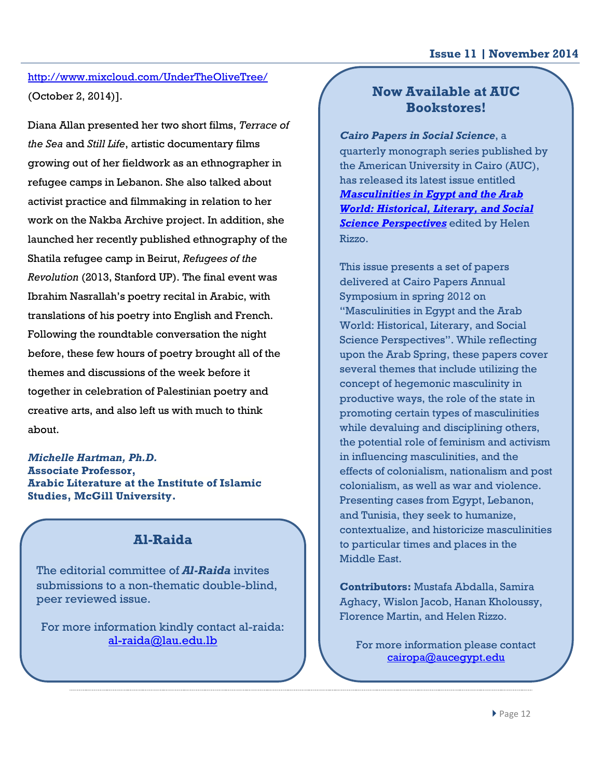## <http://www.mixcloud.com/UnderTheOliveTree/> (October 2, 2014)].

Diana Allan presented her two short films, *Terrace of the Sea* and *Still Life*, artistic documentary films growing out of her fieldwork as an ethnographer in refugee camps in Lebanon. She also talked about activist practice and filmmaking in relation to her work on the Nakba Archive project. In addition, she launched her recently published ethnography of the Shatila refugee camp in Beirut, *Refugees of the Revolution* (2013, Stanford UP). The final event was Ibrahim Nasrallah's poetry recital in Arabic, with translations of his poetry into English and French. Following the roundtable conversation the night before, these few hours of poetry brought all of the themes and discussions of the week before it together in celebration of Palestinian poetry and creative arts, and also left us with much to think about.

#### *Michelle Hartman, Ph.D.* **Associate Professor, Arabic Literature at the Institute of Islamic Studies, McGill University.**

# **Al-Raida**

The editorial committee of *Al-Raida* invites submissions to a non-thematic double-blind, peer reviewed issue.

For more information kindly contact al-raida: [al-raida@lau.edu.lb](mailto:al-raida@lau.edu.lb)

## **Now Available at AUC Bookstores!**

*Cairo Papers in Social Science*, a quarterly monograph series published by the American University in Cairo (AUC), has released its latest issue entitled *[Masculinities in Egypt and the Arab](http://www.aucpress.com/p-4914-cairo-papers-vol-33-no-1.aspx)  [World: Historical, Literary, and Social](http://www.aucpress.com/p-4914-cairo-papers-vol-33-no-1.aspx)  [Science Perspectives](http://www.aucpress.com/p-4914-cairo-papers-vol-33-no-1.aspx)* edited by Helen Rizzo.

This issue presents a set of papers delivered at Cairo Papers Annual Symposium in spring 2012 on "Masculinities in Egypt and the Arab World: Historical, Literary, and Social Science Perspectives". While reflecting upon the Arab Spring, these papers cover several themes that include utilizing the concept of hegemonic masculinity in productive ways, the role of the state in promoting certain types of masculinities while devaluing and disciplining others, the potential role of feminism and activism in influencing masculinities, and the effects of colonialism, nationalism and post colonialism, as well as war and violence. Presenting cases from Egypt, Lebanon, and Tunisia, they seek to humanize, contextualize, and historicize masculinities to particular times and places in the Middle East.

**Contributors:** Mustafa Abdalla, Samira Aghacy, Wislon Jacob, Hanan Kholoussy, Florence Martin, and Helen Rizzo.

For more information please contact [cairopa@aucegypt.edu](mailto:cairopa@aucegypt.edu)